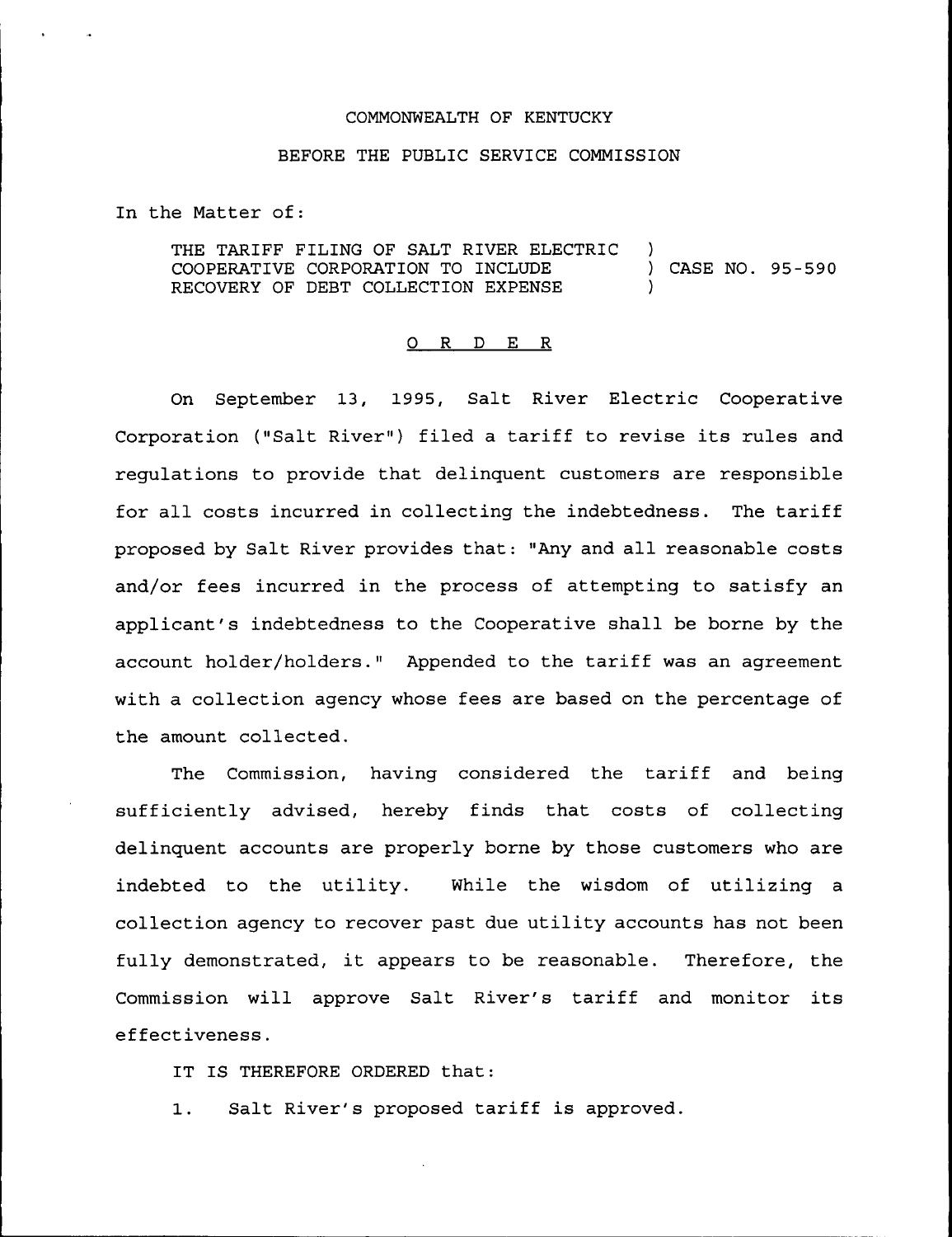## COMMONWEALTH OF KENTUCKY

## BEFORE THE PUBLIC SERVICE COMMISSION

In the Matter of:

THE TARIFF FILING OF SALT RIVER ELECTRIC ) COOPERATIVE CORPORATION TO INCLUDE ) CASE NO. 95-590 RECOVERY OF DEBT COLLECTION EXPENSE

## 0 R <sup>D</sup> E R

On September 13, 1995, Salt River Electric Cooperative Corporation ("Salt River") filed a tariff to revise its rules and regulations to provide that delinquent customers are responsible for all costs incurred in collecting the indebtedness. The tariff proposed by Salt River provides that: "Any and all reasonable costs and/or fees incurred in the pxocess of attempting to satisfy an applicant's indebtedness to the Cooperative shall be borne by the account holdex/holders." Appended to the tariff was an agreement with a collection agency whose fees are based on the percentage of the amount collected.

The Commission, having considered the tariff and being sufficiently advised, hereby finds that costs of collecting delinquent accounts are properly borne by those customers who are indebted to the utility. While the wisdom of utilizing a collection agency to recover past due utility accounts has not been fully demonstrated, it appears to be reasonable. Therefore, the Commission will approve Salt River's tariff and monitor its effectiveness.

IT IS THEREFORE ORDERED that:

1. Salt River's proposed tariff is approved.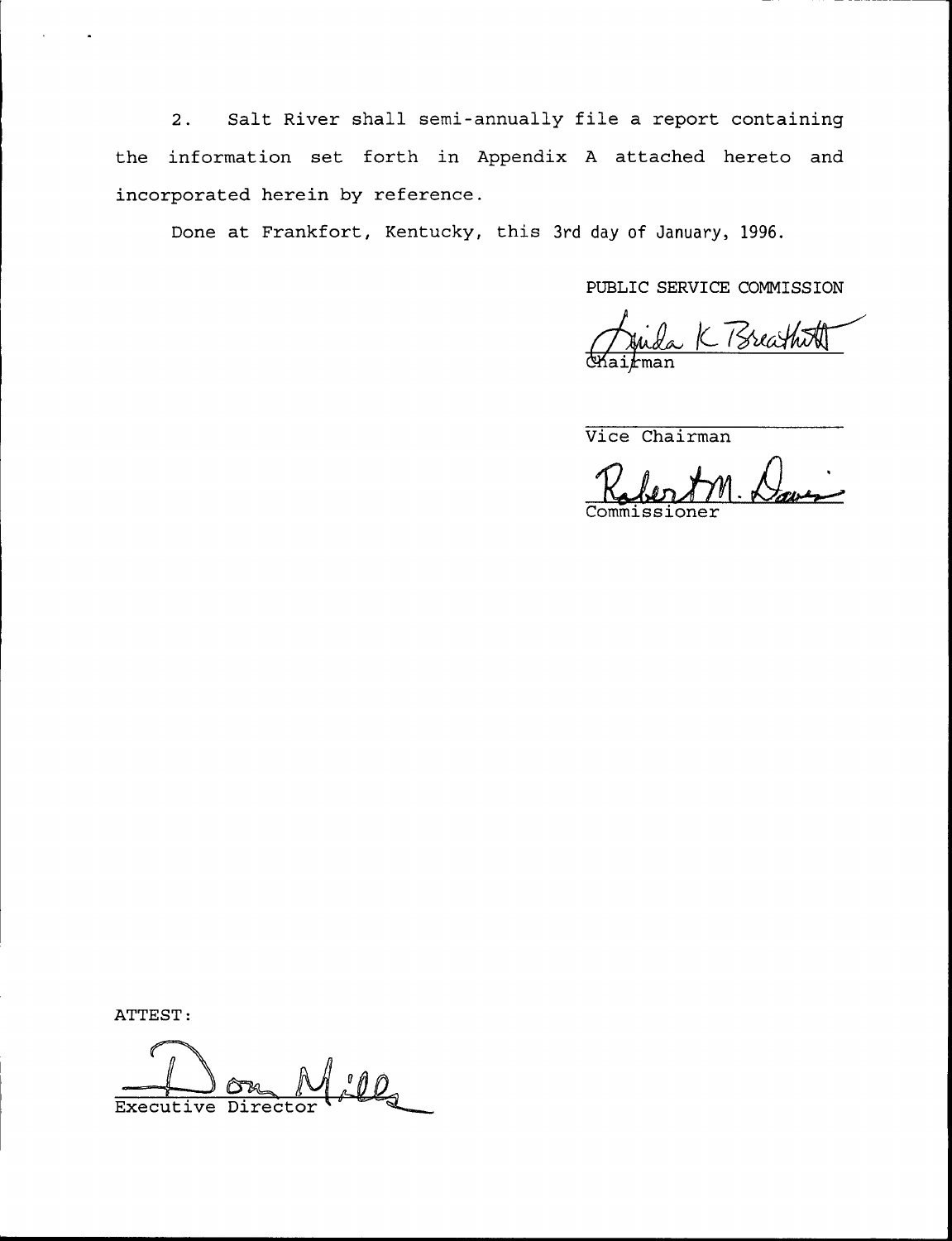2. Salt River shall semi-annually file <sup>a</sup> report containing the information set forth in Appendix <sup>A</sup> attached hereto and incorporated herein by reference.

Done at Frankfort, Kentucky, this 3rd day of January, 1996.

PUBLIC SERVICE COMMISSION

I. K Breath Chai*f*ma

Vice Chairman

Commissione

ATTEST:

 $\mathcal{L}$ Executive